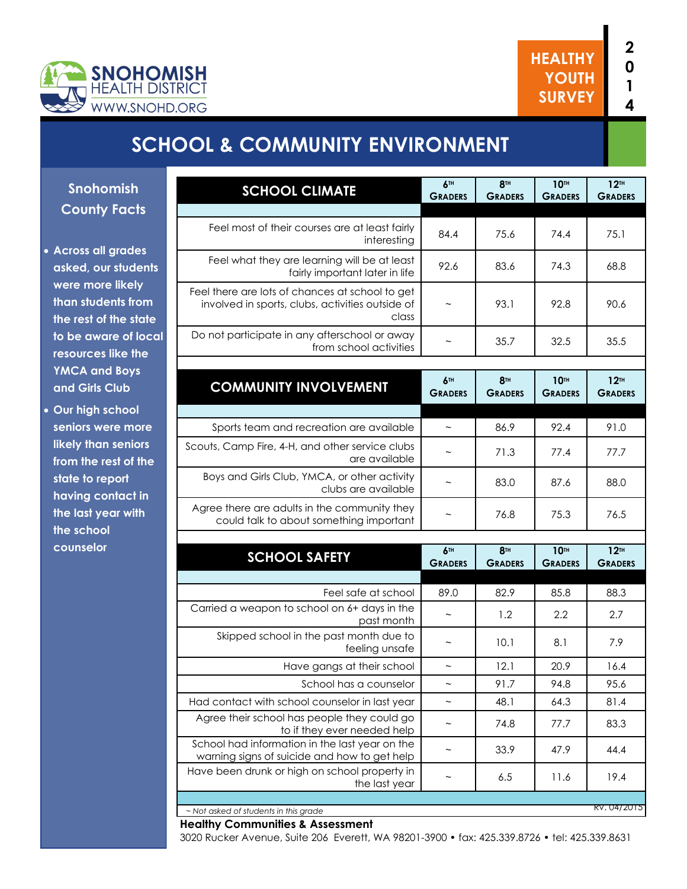

# **SCHOOL & COMMUNITY ENVIRONMENT**

**Snohomish County Facts**

- **Across all grades asked, our students were more likely than students from the rest of the state to be aware of local resources like the YMCA and Boys and Girls Club**
- **Our high school seniors were more likely than seniors from the rest of the state to report having contact in the last year with the school counselor**

| <b>SCHOOL CLIMATE</b>                                                                                          | 6TH<br><b>GRADERS</b>             | <b>8TH</b><br><b>GRADERS</b>      | 10TH<br><b>GRADERS</b>        | 12 <sup>TH</sup><br><b>GRADERS</b>   |
|----------------------------------------------------------------------------------------------------------------|-----------------------------------|-----------------------------------|-------------------------------|--------------------------------------|
|                                                                                                                |                                   |                                   |                               |                                      |
| Feel most of their courses are at least fairly<br>interesting                                                  | 84.4                              | 75.6                              | 74.4                          | 75.1                                 |
| Feel what they are learning will be at least<br>fairly important later in life                                 | 92.6                              | 83.6                              | 74.3                          | 68.8                                 |
| Feel there are lots of chances at school to get<br>involved in sports, clubs, activities outside of<br>class   | $\thicksim$                       | 93.1                              | 92.8                          | 90.6                                 |
| Do not participate in any afterschool or away<br>from school activities                                        |                                   | 35.7                              | 32.5                          | 35.5                                 |
|                                                                                                                |                                   |                                   |                               |                                      |
| <b>COMMUNITY INVOLVEMENT</b>                                                                                   | 6 <sup>TH</sup><br><b>GRADERS</b> | 8 <sup>TH</sup><br><b>GRADERS</b> | <b>10TH</b><br><b>GRADERS</b> | 12 <sup>TH</sup><br><b>GRADERS</b>   |
| Sports team and recreation are available                                                                       |                                   | 86.9                              | 92.4                          | 91.0                                 |
|                                                                                                                |                                   |                                   |                               |                                      |
| Scouts, Camp Fire, 4-H, and other service clubs<br>are available                                               |                                   | 71.3                              | 77.4                          | 77.7                                 |
| Boys and Girls Club, YMCA, or other activity<br>clubs are available                                            | $\sim$                            | 83.0                              | 87.6                          | 88.0                                 |
| Agree there are adults in the community they<br>could talk to about something important                        | $\thicksim$                       | 76.8                              | 75.3                          | 76.5                                 |
|                                                                                                                |                                   |                                   |                               |                                      |
| <b>SCHOOL SAFETY</b>                                                                                           | 6 <sup>TH</sup><br><b>GRADERS</b> | 8 <sup>TH</sup><br><b>GRADERS</b> | <b>10TH</b><br><b>GRADERS</b> | $12$ <sup>TH</sup><br><b>GRADERS</b> |
| Feel safe at school                                                                                            | 89.0                              | 82.9                              | 85.8                          | 88.3                                 |
| Carried a weapon to school on 6+ days in the<br>past month                                                     |                                   | 1.2                               | 2.2                           | 2.7                                  |
| Skipped school in the past month due to<br>feeling unsafe                                                      |                                   | 10.1                              | 8.1                           | 7.9                                  |
| Have gangs at their school                                                                                     | $\widetilde{\phantom{m}}$         | 12.1                              | 20.9                          | 16.4                                 |
|                                                                                                                |                                   |                                   |                               |                                      |
|                                                                                                                | $\sim$                            |                                   |                               |                                      |
| School has a counselor                                                                                         | $\widetilde{\phantom{m}}$         | 91.7                              | 94.8                          | 95.6                                 |
| Had contact with school counselor in last year<br>Agree their school has people they could go                  | $\sim$                            | 48.1<br>74.8                      | 64.3<br>77.7                  | 81.4<br>83.3                         |
| to if they ever needed help<br>School had information in the last year on the                                  | $\widetilde{\phantom{m}}$         | 33.9                              | 47.9                          | 44.4                                 |
| warning signs of suicide and how to get help<br>Have been drunk or high on school property in<br>the last year | $\widetilde{\phantom{m}}$         | 6.5                               | 11.6                          | 19.4                                 |

#### **Healthy Communities & Assessment**

3020 Rucker Avenue, Suite 206 Everett, WA 98201-3900 • fax: 425.339.8726 • tel: 425.339.8631